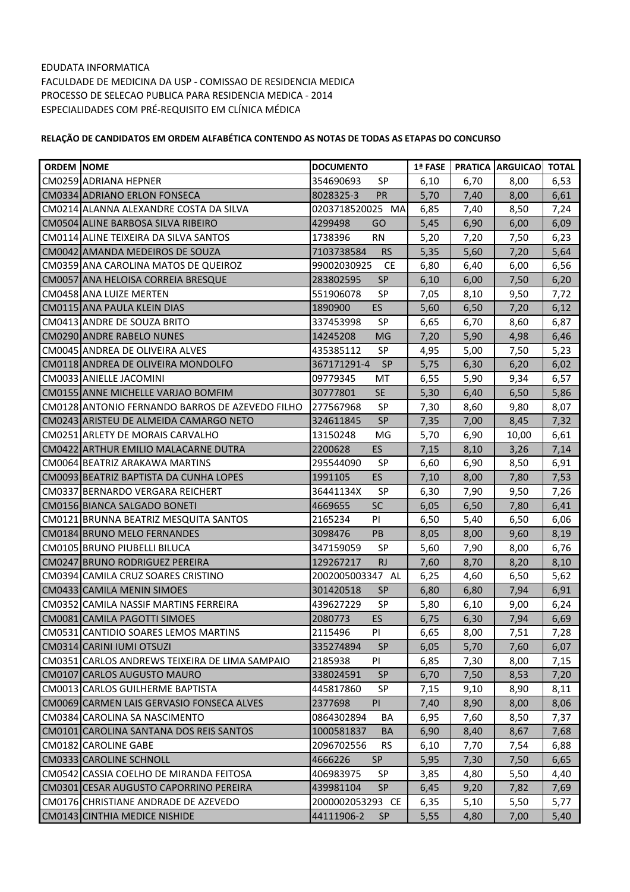| <b>ORDEM INOME</b> |                                                 | <b>DOCUMENTO</b>         | 1ª FASE | <b>PRATICA</b> | <b>ARGUICAO</b> | <b>TOTAL</b> |
|--------------------|-------------------------------------------------|--------------------------|---------|----------------|-----------------|--------------|
|                    | CM0259 ADRIANA HEPNER                           | <b>SP</b><br>354690693   | 6,10    | 6,70           | 8,00            | 6,53         |
|                    | CM0334 ADRIANO ERLON FONSECA                    | 8028325-3<br>PR          | 5,70    | 7,40           | 8,00            | 6,61         |
|                    | CM0214 ALANNA ALEXANDRE COSTA DA SILVA          | 0203718520025 MA         | 6,85    | 7,40           | 8,50            | 7,24         |
|                    | CM0504 ALINE BARBOSA SILVA RIBEIRO              | GO<br>4299498            | 5,45    | 6,90           | 6,00            | 6,09         |
|                    | CM0114 ALINE TEIXEIRA DA SILVA SANTOS           | <b>RN</b><br>1738396     | 5,20    | 7,20           | 7,50            | 6,23         |
|                    | CM0042 AMANDA MEDEIROS DE SOUZA                 | 7103738584<br><b>RS</b>  | 5,35    | 5,60           | 7,20            | 5,64         |
|                    | CM0359 ANA CAROLINA MATOS DE QUEIROZ            | 99002030925<br><b>CE</b> | 6,80    | 6,40           | 6,00            | 6,56         |
|                    | CM0057 ANA HELOISA CORREIA BRESQUE              | 283802595<br><b>SP</b>   | 6,10    | 6,00           | 7,50            | 6,20         |
|                    | CM0458 ANA LUIZE MERTEN                         | <b>SP</b><br>551906078   | 7,05    | 8,10           | 9,50            | 7,72         |
|                    | CM0115 ANA PAULA KLEIN DIAS                     | ES<br>1890900            | 5,60    | 6,50           | 7,20            | 6,12         |
|                    | CM0413 ANDRE DE SOUZA BRITO                     | <b>SP</b><br>337453998   | 6,65    | 6,70           | 8,60            | 6,87         |
|                    | <b>CM0290 ANDRE RABELO NUNES</b>                | <b>MG</b><br>14245208    | 7,20    | 5,90           | 4,98            | 6,46         |
|                    | CM0045 ANDREA DE OLIVEIRA ALVES                 | SP<br>435385112          | 4,95    | 5,00           | 7,50            | 5,23         |
|                    | CM0118 ANDREA DE OLIVEIRA MONDOLFO              | <b>SP</b><br>367171291-4 | 5,75    | 6,30           | 6,20            | 6,02         |
|                    | CM0033 ANIELLE JACOMINI                         | 09779345<br>MT           | 6,55    | 5,90           | 9,34            | 6,57         |
|                    | CM0155 ANNE MICHELLE VARJAO BOMFIM              | <b>SE</b><br>30777801    | 5,30    | 6,40           | 6,50            | 5,86         |
|                    | CM0128 ANTONIO FERNANDO BARROS DE AZEVEDO FILHO | 277567968<br><b>SP</b>   | 7,30    | 8,60           | 9,80            | 8,07         |
|                    | CM0243 ARISTEU DE ALMEIDA CAMARGO NETO          | <b>SP</b><br>324611845   | 7,35    | 7,00           | 8,45            | 7,32         |
|                    | CM0251 ARLETY DE MORAIS CARVALHO                | MG<br>13150248           | 5,70    | 6,90           | 10,00           | 6,61         |
|                    | CM0422IARTHUR EMILIO MALACARNE DUTRA            | ES<br>2200628            | 7,15    | 8,10           | 3,26            | 7,14         |
|                    | CM0064 BEATRIZ ARAKAWA MARTINS                  | <b>SP</b><br>295544090   | 6,60    | 6,90           | 8,50            | 6,91         |
|                    | CM0093 BEATRIZ BAPTISTA DA CUNHA LOPES          | ES<br>1991105            | 7,10    | 8,00           | 7,80            | 7,53         |
|                    | CM0337 BERNARDO VERGARA REICHERT                | <b>SP</b><br>36441134X   | 6,30    | 7,90           | 9,50            | 7,26         |
|                    | CM0156 BIANCA SALGADO BONETI                    | SC<br>4669655            | 6,05    | 6,50           | 7,80            | 6,41         |
|                    | CM0121 BRUNNA BEATRIZ MESQUITA SANTOS           | PI<br>2165234            | 6,50    | 5,40           | 6,50            | 6,06         |
|                    | CM0184 BRUNO MELO FERNANDES                     | PB<br>3098476            | 8,05    | 8,00           | 9,60            | 8,19         |
|                    | CM0105 BRUNO PIUBELLI BILUCA                    | 347159059<br><b>SP</b>   | 5,60    | 7,90           | 8,00            | 6,76         |
|                    | CM0247 BRUNO RODRIGUEZ PEREIRA                  | <b>RJ</b><br>129267217   | 7,60    | 8,70           | 8,20            | 8,10         |
|                    | CM0394 CAMILA CRUZ SOARES CRISTINO              | 2002005003347 AL         | 6,25    | 4,60           | 6,50            | 5,62         |
|                    | CM0433 CAMILA MENIN SIMOES                      | 301420518<br><b>SP</b>   | 6,80    | 6,80           | 7,94            | 6,91         |
|                    | CM0352 CAMILA NASSIF MARTINS FERREIRA           | SP<br>439627229          | 5,80    | 6,10           | 9,00            | 6,24         |
|                    | CM0081 CAMILA PAGOTTI SIMOES                    | ES<br>2080773            | 6,75    | 6,30           | 7,94            | 6,69         |
|                    | CM0531 CANTIDIO SOARES LEMOS MARTINS            | 2115496<br>PI            | 6,65    | 8,00           | 7,51            | 7,28         |
|                    | CM0314 CARINI IUMI OTSUZI                       | 335274894<br><b>SP</b>   | 6,05    | 5,70           | 7,60            | 6,07         |
|                    | CM0351 CARLOS ANDREWS TEIXEIRA DE LIMA SAMPAIO  | 2185938<br>PI            | 6,85    | 7,30           | 8,00            | 7,15         |
|                    | CM0107 CARLOS AUGUSTO MAURO                     | SP<br>338024591          | 6,70    | 7,50           | 8,53            | 7,20         |
|                    | CM0013 CARLOS GUILHERME BAPTISTA                | 445817860<br>SP          | 7,15    | 9,10           | 8,90            | 8,11         |
|                    | CM0069 CARMEN LAIS GERVASIO FONSECA ALVES       | 2377698<br>PI            | 7,40    | 8,90           | 8,00            | 8,06         |
|                    | CM0384 CAROLINA SA NASCIMENTO                   | 0864302894<br>BA         | 6,95    | 7,60           | 8,50            | 7,37         |
|                    | CM0101 CAROLINA SANTANA DOS REIS SANTOS         | 1000581837<br><b>BA</b>  | 6,90    | 8,40           | 8,67            | 7,68         |
|                    | CM0182 CAROLINE GABE                            | 2096702556<br><b>RS</b>  | 6,10    | 7,70           | 7,54            | 6,88         |
|                    | CM0333 CAROLINE SCHNOLL                         | 4666226<br><b>SP</b>     | 5,95    | 7,30           | 7,50            | 6,65         |
|                    | CM0542 CASSIA COELHO DE MIRANDA FEITOSA         | 406983975<br><b>SP</b>   | 3,85    | 4,80           | 5,50            | 4,40         |
|                    | CM0301 CESAR AUGUSTO CAPORRINO PEREIRA          | 439981104<br><b>SP</b>   | 6,45    | 9,20           | 7,82            | 7,69         |
|                    | CM0176 CHRISTIANE ANDRADE DE AZEVEDO            | 2000002053293 CE         | 6,35    | 5,10           | 5,50            | 5,77         |
|                    | CM0143 CINTHIA MEDICE NISHIDE                   | 44111906-2<br><b>SP</b>  | 5,55    | 4,80           | 7,00            | 5,40         |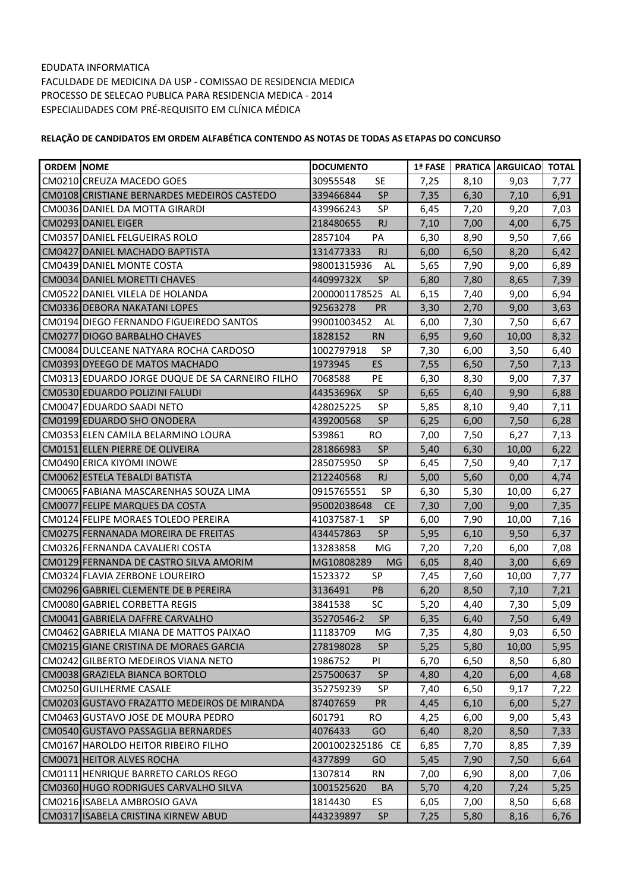| <b>ORDEM NOME</b> |                                                 | <b>DOCUMENTO</b>        | 1ª FASE |      | <b>PRATICA ARGUICAO</b> | <b>TOTAL</b> |
|-------------------|-------------------------------------------------|-------------------------|---------|------|-------------------------|--------------|
|                   | CM0210 CREUZA MACEDO GOES                       | <b>SE</b><br>30955548   | 7,25    | 8,10 | 9,03                    | 7,77         |
|                   | CM0108 CRISTIANE BERNARDES MEDEIROS CASTEDO     | <b>SP</b><br>339466844  | 7,35    | 6,30 | 7,10                    | 6,91         |
|                   | CM0036 DANIEL DA MOTTA GIRARDI                  | <b>SP</b><br>439966243  | 6,45    | 7,20 | 9,20                    | 7,03         |
|                   | CM0293 DANIEL EIGER                             | 218480655<br><b>RJ</b>  | 7,10    | 7,00 | 4,00                    | 6,75         |
|                   | <b>CM0357 DANIEL FELGUEIRAS ROLO</b>            | 2857104<br>PA           | 6,30    | 8,90 | 9,50                    | 7,66         |
|                   | CM0427 DANIEL MACHADO BAPTISTA                  | <b>RJ</b><br>131477333  | 6,00    | 6,50 | 8,20                    | 6,42         |
|                   | CM0439 DANIEL MONTE COSTA                       | 98001315936<br>AL       | 5,65    | 7,90 | 9,00                    | 6,89         |
|                   | CM0034 DANIEL MORETTI CHAVES                    | 44099732X<br><b>SP</b>  | 6,80    | 7,80 | 8,65                    | 7,39         |
|                   | CM0522 DANIEL VILELA DE HOLANDA                 | 2000001178525 AL        | 6,15    | 7,40 | 9,00                    | 6,94         |
|                   | CM0336 DEBORA NAKATANI LOPES                    | PR<br>92563278          | 3,30    | 2,70 | 9,00                    | 3,63         |
|                   | CM0194 DIEGO FERNANDO FIGUEIREDO SANTOS         | 99001003452<br>AL       | 6,00    | 7,30 | 7,50                    | 6,67         |
|                   | CM0277 DIOGO BARBALHO CHAVES                    | 1828152<br><b>RN</b>    | 6,95    | 9,60 | 10,00                   | 8,32         |
|                   | CM0084 DULCEANE NATYARA ROCHA CARDOSO           | 1002797918<br><b>SP</b> | 7,30    | 6,00 | 3,50                    | 6,40         |
|                   | CM0393 DYEEGO DE MATOS MACHADO                  | ES<br>1973945           | 7,55    | 6,50 | 7,50                    | 7,13         |
|                   | CM0313 EDUARDO JORGE DUQUE DE SA CARNEIRO FILHO | PE<br>7068588           | 6,30    | 8,30 | 9,00                    | 7,37         |
|                   | CM0530 EDUARDO POLIZINI FALUDI                  | <b>SP</b><br>44353696X  | 6,65    | 6,40 | 9,90                    | 6,88         |
|                   | CM0047 EDUARDO SAADI NETO                       | 428025225<br><b>SP</b>  | 5,85    | 8,10 | 9,40                    | 7,11         |
|                   | CM0199 EDUARDO SHO ONODERA                      | <b>SP</b><br>439200568  | 6,25    | 6,00 | 7,50                    | 6,28         |
|                   | CM0353 ELEN CAMILA BELARMINO LOURA              | <b>RO</b><br>539861     | 7,00    | 7,50 | 6,27                    | 7,13         |
|                   | CM0151 ELLEN PIERRE DE OLIVEIRA                 | <b>SP</b><br>281866983  | 5,40    | 6,30 | 10,00                   | 6,22         |
|                   | CM0490 ERICA KIYOMI INOWE                       | 285075950<br><b>SP</b>  | 6,45    | 7,50 | 9,40                    | 7,17         |
|                   | CM0062 ESTELA TEBALDI BATISTA                   | <b>RJ</b><br>212240568  | 5,00    | 5,60 | 0,00                    | 4,74         |
|                   | CM0065 FABIANA MASCARENHAS SOUZA LIMA           | <b>SP</b><br>0915765551 | 6,30    | 5,30 | 10,00                   | 6,27         |
|                   | CM0077 FELIPE MARQUES DA COSTA                  | 95002038648<br>CE       | 7,30    | 7,00 | 9,00                    | 7,35         |
|                   | CM0124 FELIPE MORAES TOLEDO PEREIRA             | SP<br>41037587-1        | 6,00    | 7,90 | 10,00                   | 7,16         |
|                   | CM0275 FERNANADA MOREIRA DE FREITAS             | <b>SP</b><br>434457863  | 5,95    | 6,10 | 9,50                    | 6,37         |
|                   | CM0326 FERNANDA CAVALIERI COSTA                 | MG<br>13283858          | 7,20    | 7,20 | 6,00                    | 7,08         |
|                   | CM0129 FERNANDA DE CASTRO SILVA AMORIM          | MG10808289<br>MG        | 6,05    | 8,40 | 3,00                    | 6,69         |
|                   | CM0324 FLAVIA ZERBONE LOUREIRO                  | <b>SP</b><br>1523372    | 7,45    | 7,60 | 10,00                   | 7,77         |
|                   | CM0296 GABRIEL CLEMENTE DE B PEREIRA            | 3136491<br><b>PB</b>    | 6,20    | 8,50 | 7,10                    | 7,21         |
|                   | CM0080 GABRIEL CORBETTA REGIS                   | SC<br>3841538           | 5,20    | 4,40 | 7,30                    | 5,09         |
|                   | CM0041 GABRIELA DAFFRE CARVALHO                 | SP<br>35270546-2        | 6,35    | 6,40 | 7,50                    | 6,49         |
|                   | CM0462 GABRIELA MIANA DE MATTOS PAIXAO          | 11183709<br>MG          | 7,35    | 4,80 | 9,03                    | 6,50         |
|                   | CM0215 GIANE CRISTINA DE MORAES GARCIA          | 278198028<br><b>SP</b>  | 5,25    | 5,80 | 10,00                   | 5,95         |
|                   | CM0242 GILBERTO MEDEIROS VIANA NETO             | 1986752<br>PI           | 6,70    | 6,50 | 8,50                    | 6,80         |
|                   | CM0038 GRAZIELA BIANCA BORTOLO                  | SP<br>257500637         | 4,80    | 4,20 | 6,00                    | 4,68         |
|                   | CM0250 GUILHERME CASALE                         | 352759239<br>SP         | 7,40    | 6,50 | 9,17                    | 7,22         |
|                   | CM0203 GUSTAVO FRAZATTO MEDEIROS DE MIRANDA     | 87407659<br><b>PR</b>   | 4,45    | 6,10 | 6,00                    | 5,27         |
|                   | CM0463 GUSTAVO JOSE DE MOURA PEDRO              | 601791<br>RO.           | 4,25    | 6,00 | 9,00                    | 5,43         |
|                   | CM0540 GUSTAVO PASSAGLIA BERNARDES              | 4076433<br>GO           | 6,40    | 8,20 | 8,50                    | 7,33         |
|                   | CM0167 HAROLDO HEITOR RIBEIRO FILHO             | 2001002325186 CE        | 6,85    | 7,70 | 8,85                    | 7,39         |
|                   | CM0071 HEITOR ALVES ROCHA                       | 4377899<br>GO           | 5,45    | 7,90 | 7,50                    | 6,64         |
|                   | CM0111 HENRIQUE BARRETO CARLOS REGO             | 1307814<br><b>RN</b>    | 7,00    | 6,90 | 8,00                    | 7,06         |
|                   | CM0360 HUGO RODRIGUES CARVALHO SILVA            | 1001525620<br><b>BA</b> | 5,70    | 4,20 | 7,24                    | 5,25         |
|                   | CM0216 ISABELA AMBROSIO GAVA                    | ES<br>1814430           | 6,05    | 7,00 | 8,50                    | 6,68         |
|                   | CM0317 ISABELA CRISTINA KIRNEW ABUD             | SP<br>443239897         | 7,25    | 5,80 | 8,16                    | 6,76         |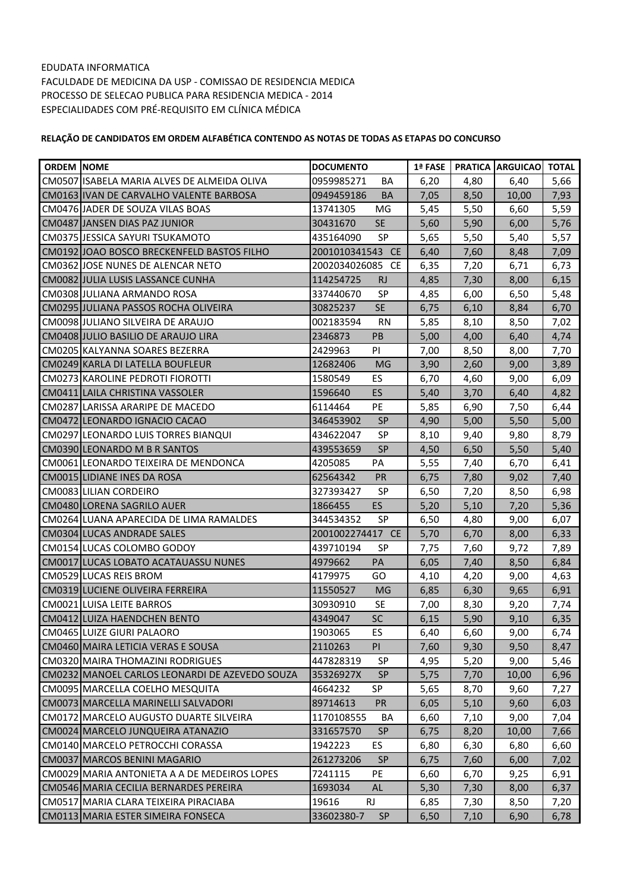| <b>ORDEM NOME</b> |                                                | <b>DOCUMENTO</b>           | 1ª FASE |      | <b>PRATICA ARGUICAO</b> | <b>TOTAL</b> |
|-------------------|------------------------------------------------|----------------------------|---------|------|-------------------------|--------------|
|                   | CM0507 ISABELA MARIA ALVES DE ALMEIDA OLIVA    | 0959985271<br>BA           | 6,20    | 4,80 | 6,40                    | 5,66         |
|                   | CM0163 IVAN DE CARVALHO VALENTE BARBOSA        | 0949459186<br><b>BA</b>    | 7,05    | 8,50 | 10,00                   | 7,93         |
|                   | CM0476 JADER DE SOUZA VILAS BOAS               | 13741305<br>MG             | 5,45    | 5,50 | 6,60                    | 5,59         |
|                   | CM0487 JANSEN DIAS PAZ JUNIOR                  | <b>SE</b><br>30431670      | 5,60    | 5,90 | 6,00                    | 5,76         |
|                   | CM0375 JESSICA SAYURI TSUKAMOTO                | SP<br>435164090            | 5,65    | 5,50 | 5,40                    | 5,57         |
|                   | CM0192 JJOAO BOSCO BRECKENFELD BASTOS FILHO    | 2001010341543 CE           | 6,40    | 7,60 | 8,48                    | 7,09         |
|                   | CM0362 JJOSE NUNES DE ALENCAR NETO             | <b>CE</b><br>2002034026085 | 6,35    | 7,20 | 6,71                    | 6,73         |
|                   | CM0082 JJULIA LUSIS LASSANCE CUNHA             | 114254725<br><b>RJ</b>     | 4,85    | 7,30 | 8,00                    | 6,15         |
|                   | CM0308 JULIANA ARMANDO ROSA                    | <b>SP</b><br>337440670     | 4,85    | 6,00 | 6,50                    | 5,48         |
|                   | CM0295 JJULIANA PASSOS ROCHA OLIVEIRA          | <b>SE</b><br>30825237      | 6,75    | 6,10 | 8,84                    | 6,70         |
|                   | CM0098 JULIANO SILVEIRA DE ARAUJO              | 002183594<br><b>RN</b>     | 5,85    | 8,10 | 8,50                    | 7,02         |
|                   | CM0408 JULIO BASILIO DE ARAUJO LIRA            | PB<br>2346873              | 5,00    | 4,00 | 6,40                    | 4,74         |
|                   | CM0205 KALYANNA SOARES BEZERRA                 | PI<br>2429963              | 7,00    | 8,50 | 8,00                    | 7,70         |
|                   | CM0249 KARLA DI LATELLA BOUFLEUR               | 12682406<br><b>MG</b>      | 3,90    | 2,60 | 9,00                    | 3,89         |
|                   | CM0273 KAROLINE PEDROTI FIOROTTI               | <b>ES</b><br>1580549       | 6,70    | 4,60 | 9,00                    | 6,09         |
|                   | CM0411 LAILA CHRISTINA VASSOLER                | ES<br>1596640              | 5,40    | 3,70 | 6,40                    | 4,82         |
|                   | CM0287 LARISSA ARARIPE DE MACEDO               | PE<br>6114464              | 5,85    | 6,90 | 7,50                    | 6,44         |
|                   | CM0472 LEONARDO IGNACIO CACAO                  | <b>SP</b><br>346453902     | 4,90    | 5,00 | 5,50                    | 5,00         |
|                   | CM0297 LEONARDO LUIS TORRES BIANQUI            | <b>SP</b><br>434622047     | 8,10    | 9,40 | 9,80                    | 8,79         |
|                   | CM0390 LEONARDO M B R SANTOS                   | <b>SP</b><br>439553659     | 4,50    | 6,50 | 5,50                    | 5,40         |
|                   | CM0061 LEONARDO TEIXEIRA DE MENDONCA           | 4205085<br>PA              | 5,55    | 7,40 | 6,70                    | 6,41         |
|                   | CM0015 LIDIANE INES DA ROSA                    | PR<br>62564342             | 6,75    | 7,80 | 9,02                    | 7,40         |
|                   | CM0083 LILIAN CORDEIRO                         | <b>SP</b><br>327393427     | 6,50    | 7,20 | 8,50                    | 6,98         |
|                   | CM0480 LORENA SAGRILO AUER                     | <b>ES</b><br>1866455       | 5,20    | 5,10 | 7,20                    | 5,36         |
|                   | CM0264 LUANA APARECIDA DE LIMA RAMALDES        | <b>SP</b><br>344534352     | 6,50    | 4,80 | 9,00                    | 6,07         |
|                   | CM0304 LUCAS ANDRADE SALES                     | 2001002274417 CE           | 5,70    | 6,70 | 8,00                    | 6,33         |
|                   | CM0154 LUCAS COLOMBO GODOY                     | 439710194<br><b>SP</b>     | 7,75    | 7,60 | 9,72                    | 7,89         |
|                   | CM0017 LUCAS LOBATO ACATAUASSU NUNES           | 4979662<br>PA              | 6,05    | 7,40 | 8,50                    | 6,84         |
|                   | CM0529 LUCAS REIS BROM                         | GO<br>4179975              | 4,10    | 4,20 | 9,00                    | 4,63         |
|                   | CM0319 LUCIENE OLIVEIRA FERREIRA               | 11550527<br><b>MG</b>      | 6,85    | 6,30 | 9,65                    | 6,91         |
|                   | CM0021 LUISA LEITE BARROS                      | 30930910<br><b>SE</b>      | 7,00    | 8,30 | 9,20                    | 7,74         |
|                   | CM0412 LUIZA HAENDCHEN BENTO                   | SC<br>4349047              | 6,15    | 5,90 | 9,10                    | 6,35         |
|                   | CM0465 LUIZE GIURI PALAORO                     | ES<br>1903065              | 6,40    | 6,60 | 9,00                    | 6,74         |
|                   | CM0460 MAIRA LETICIA VERAS E SOUSA             | <b>PI</b><br>2110263       | 7,60    | 9,30 | 9,50                    | 8,47         |
|                   | CM0320 MAIRA THOMAZINI RODRIGUES               | 447828319<br><b>SP</b>     | 4,95    | 5,20 | 9,00                    | 5,46         |
|                   | CM0232 MANOEL CARLOS LEONARDI DE AZEVEDO SOUZA | 35326927X<br><b>SP</b>     | 5,75    | 7,70 | 10,00                   | 6,96         |
|                   | CM0095 MARCELLA COELHO MESQUITA                | SP<br>4664232              | 5,65    | 8,70 | 9,60                    | 7,27         |
|                   | CM0073 MARCELLA MARINELLI SALVADORI            | <b>PR</b><br>89714613      | 6,05    | 5,10 | 9,60                    | 6,03         |
|                   | CM0172 MARCELO AUGUSTO DUARTE SILVEIRA         | 1170108555<br>BA           | 6,60    | 7,10 | 9,00                    | 7,04         |
|                   | CM0024 MARCELO JUNQUEIRA ATANAZIO              | 331657570<br><b>SP</b>     | 6,75    | 8,20 | 10,00                   | 7,66         |
|                   | CM0140 MARCELO PETROCCHI CORASSA               | <b>ES</b><br>1942223       | 6,80    | 6,30 | 6,80                    | 6,60         |
|                   | CM0037 MARCOS BENINI MAGARIO                   | <b>SP</b><br>261273206     | 6,75    | 7,60 | 6,00                    | 7,02         |
|                   | CM0029 MARIA ANTONIETA A A DE MEDEIROS LOPES   | 7241115<br>PE              | 6,60    | 6,70 | 9,25                    | 6,91         |
|                   | CM0546 MARIA CECILIA BERNARDES PEREIRA         | 1693034<br>AL              | 5,30    | 7,30 | 8,00                    | 6,37         |
|                   | CM0517 MARIA CLARA TEIXEIRA PIRACIABA          | <b>RJ</b><br>19616         | 6,85    | 7,30 | 8,50                    | 7,20         |
|                   | CM0113 MARIA ESTER SIMEIRA FONSECA             | 33602380-7<br><b>SP</b>    | 6,50    | 7,10 | 6,90                    | 6,78         |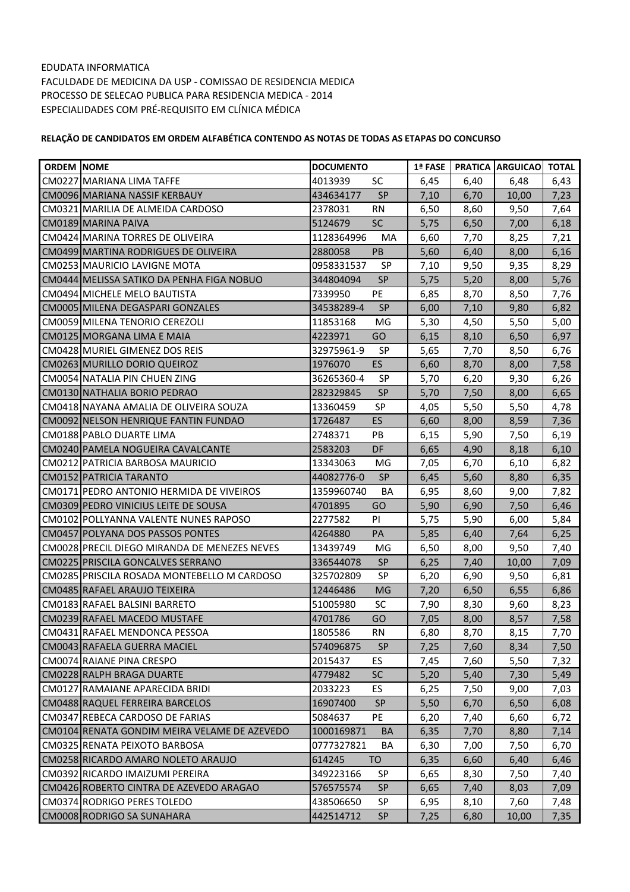| <b>ORDEM NOME</b> |                                              | <b>DOCUMENTO</b>        | 1ª FASE |      | <b>FRATICA ARGUICAOL</b> | <b>TOTAL</b> |
|-------------------|----------------------------------------------|-------------------------|---------|------|--------------------------|--------------|
|                   | CM0227 MARIANA LIMA TAFFE                    | SC<br>4013939           | 6,45    | 6,40 | 6,48                     | 6,43         |
|                   | CM0096 MARIANA NASSIF KERBAUY                | <b>SP</b><br>434634177  | 7,10    | 6,70 | 10,00                    | 7,23         |
|                   | CM0321 MARILIA DE ALMEIDA CARDOSO            | 2378031<br><b>RN</b>    | 6,50    | 8,60 | 9,50                     | 7,64         |
|                   | CM0189 MARINA PAIVA                          | SC<br>5124679           | 5,75    | 6,50 | 7,00                     | 6,18         |
|                   | CM0424 MARINA TORRES DE OLIVEIRA             | 1128364996<br>MA        | 6,60    | 7,70 | 8,25                     | 7,21         |
|                   | CM0499 MARTINA RODRIGUES DE OLIVEIRA         | PB<br>2880058           | 5,60    | 6,40 | 8,00                     | 6,16         |
|                   | CM0253 MAURICIO LAVIGNE MOTA                 | SP<br>0958331537        | 7,10    | 9,50 | 9,35                     | 8,29         |
|                   | CM0444 MELISSA SATIKO DA PENHA FIGA NOBUO    | <b>SP</b><br>344804094  | 5,75    | 5,20 | 8,00                     | 5,76         |
|                   | CM0494 MICHELE MELO BAUTISTA                 | PE<br>7339950           | 6,85    | 8,70 | 8,50                     | 7,76         |
|                   | CM0005 MILENA DEGASPARI GONZALES             | <b>SP</b><br>34538289-4 | 6,00    | 7,10 | 9,80                     | 6,82         |
|                   | CM0059 MILENA TENORIO CEREZOLI               | MG<br>11853168          | 5,30    | 4,50 | 5,50                     | 5,00         |
|                   | CM0125 MORGANA LIMA E MAIA                   | 4223971<br>GO           | 6,15    | 8,10 | 6,50                     | 6,97         |
|                   | CM0428 MURIEL GIMENEZ DOS REIS               | 32975961-9<br><b>SP</b> | 5,65    | 7,70 | 8,50                     | 6,76         |
|                   | CM0263 MURILLO DORIO QUEIROZ                 | <b>ES</b><br>1976070    | 6,60    | 8,70 | 8,00                     | 7,58         |
|                   | CM0054 NATALIA PIN CHUEN ZING                | <b>SP</b><br>36265360-4 | 5,70    | 6,20 | 9,30                     | 6,26         |
|                   | CM0130 INATHALIA BORIO PEDRAO                | <b>SP</b><br>282329845  | 5,70    | 7,50 | 8,00                     | 6,65         |
|                   | CM0418 NAYANA AMALIA DE OLIVEIRA SOUZA       | SP<br>13360459          | 4,05    | 5,50 | 5,50                     | 4,78         |
|                   | CM0092 NELSON HENRIQUE FANTIN FUNDAO         | ES<br>1726487           | 6,60    | 8,00 | 8,59                     | 7,36         |
|                   | CM0188 PABLO DUARTE LIMA                     | PB<br>2748371           | 6,15    | 5,90 | 7,50                     | 6,19         |
|                   | CM0240 PAMELA NOGUEIRA CAVALCANTE            | DF<br>2583203           | 6,65    | 4,90 | 8,18                     | 6,10         |
|                   | CM0212 PATRICIA BARBOSA MAURICIO             | 13343063<br>MG          | 7,05    | 6,70 | 6,10                     | 6,82         |
|                   | CM0152 PATRICIA TARANTO                      | 44082776-0<br><b>SP</b> | 6,45    | 5,60 | 8,80                     | 6,35         |
|                   | CM0171 PEDRO ANTONIO HERMIDA DE VIVEIROS     | 1359960740<br>BA        | 6,95    | 8,60 | 9,00                     | 7,82         |
|                   | CM0309 PEDRO VINICIUS LEITE DE SOUSA         | GO<br>4701895           | 5,90    | 6,90 | 7,50                     | 6,46         |
|                   | CM0102 POLLYANNA VALENTE NUNES RAPOSO        | 2277582<br>PI           | 5,75    | 5,90 | 6,00                     | 5,84         |
|                   | CM0457 POLYANA DOS PASSOS PONTES             | PA<br>4264880           | 5,85    | 6,40 | 7,64                     | 6,25         |
|                   | CM0028 PRECIL DIEGO MIRANDA DE MENEZES NEVES | MG<br>13439749          | 6,50    | 8,00 | 9,50                     | 7,40         |
|                   | CM0225 PRISCILA GONCALVES SERRANO            | <b>SP</b><br>336544078  | 6,25    | 7,40 | 10,00                    | 7,09         |
|                   | CM0285 PRISCILA ROSADA MONTEBELLO M CARDOSO  | SP<br>325702809         | 6,20    | 6,90 | 9,50                     | 6,81         |
|                   | CM0485 RAFAEL ARAUJO TEIXEIRA                | 12446486<br><b>MG</b>   | 7,20    | 6,50 | 6,55                     | 6,86         |
|                   | CM0183 RAFAEL BALSINI BARRETO                | SC<br>51005980          | 7,90    | 8,30 | 9,60                     | 8,23         |
|                   | CM0239 RAFAEL MACEDO MUSTAFE                 | GO<br>4701786           | 7,05    | 8,00 | 8,57                     | 7,58         |
|                   | CM0431 RAFAEL MENDONCA PESSOA                | 1805586<br>RN           | 6,80    | 8,70 | 8,15                     | 7,70         |
|                   | CM0043 RAFAELA GUERRA MACIEL                 | 574096875<br><b>SP</b>  | 7,25    | 7,60 | 8,34                     | 7,50         |
|                   | CM0074 RAIANE PINA CRESPO                    | 2015437<br>ES.          | 7,45    | 7,60 | 5,50                     | 7,32         |
|                   | CM0228 RALPH BRAGA DUARTE                    | SC<br>4779482           | 5,20    | 5,40 | 7,30                     | 5,49         |
|                   | CM0127 RAMAIANE APARECIDA BRIDI              | 2033223<br>ES           | 6,25    | 7,50 | 9,00                     | 7,03         |
|                   | CM0488 RAQUEL FERREIRA BARCELOS              | <b>SP</b><br>16907400   | 5,50    | 6,70 | 6,50                     | 6,08         |
|                   | CM0347 REBECA CARDOSO DE FARIAS              | PE<br>5084637           | 6,20    | 7,40 | 6,60                     | 6,72         |
|                   | CM0104 RENATA GONDIM MEIRA VELAME DE AZEVEDO | 1000169871<br><b>BA</b> | 6,35    | 7,70 | 8,80                     | 7,14         |
|                   | CM0325 RENATA PEIXOTO BARBOSA                | 0777327821<br>BA        | 6,30    | 7,00 | 7,50                     | 6,70         |
|                   | CM0258 RICARDO AMARO NOLETO ARAUJO           | 614245<br>TO            | 6,35    | 6,60 | 6,40                     | 6,46         |
|                   | CM0392 RICARDO IMAIZUMI PEREIRA              | 349223166<br>SP         | 6,65    | 8,30 | 7,50                     | 7,40         |
|                   | CM0426 ROBERTO CINTRA DE AZEVEDO ARAGAO      | 576575574<br><b>SP</b>  | 6,65    | 7,40 | 8,03                     | 7,09         |
|                   | CM0374 RODRIGO PERES TOLEDO                  | 438506650<br>SP         | 6,95    | 8,10 | 7,60                     | 7,48         |
|                   | CM0008 RODRIGO SA SUNAHARA                   | 442514712<br><b>SP</b>  | 7,25    | 6,80 | 10,00                    | 7,35         |